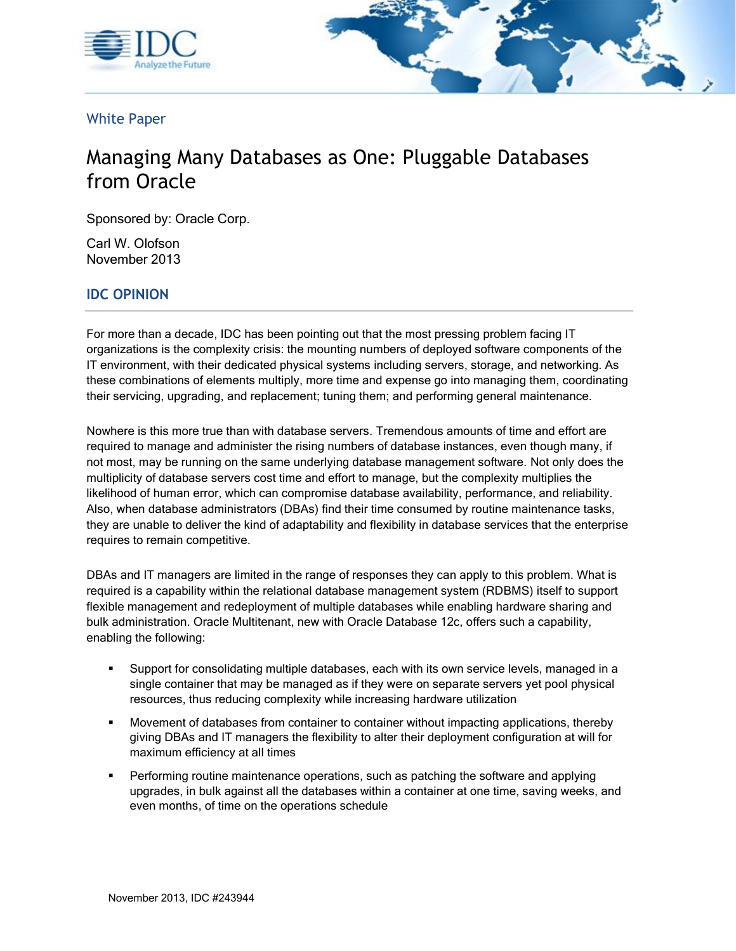



White Paper

# Managing Many Databases as One: Pluggable Databases from Oracle

Sponsored by: Oracle Corp.

 Carl W. Olofson November 2013

# **IDC OPINION**

For more than a decade, IDC has been pointing out that the most pressing problem facing IT organizations is the complexity crisis: the mounting numbers of deployed software components of the IT environment, with their dedicated physical systems including servers, storage, and networking. As these combinations of elements multiply, more time and expense go into managing them, coordinating their servicing, upgrading, and replacement; tuning them; and performing general maintenance.

 required to manage and administer the rising numbers of database instances, even though many, if likelihood of human error, which can compromise database availability, performance, and reliability. Nowhere is this more true than with database servers. Tremendous amounts of time and effort are not most, may be running on the same underlying database management software. Not only does the multiplicity of database servers cost time and effort to manage, but the complexity multiplies the Also, when database administrators (DBAs) find their time consumed by routine maintenance tasks, they are unable to deliver the kind of adaptability and flexibility in database services that the enterprise requires to remain competitive.

DBAs and IT managers are limited in the range of responses they can apply to this problem. What is required is a capability within the relational database management system (RDBMS) itself to support flexible management and redeployment of multiple databases while enabling hardware sharing and bulk administration. Oracle Multitenant, new with Oracle Database 12c, offers such a capability, enabling the following:

- resources, thus reducing complexity while increasing hardware utilization Support for consolidating multiple databases, each with its own service levels, managed in a single container that may be managed as if they were on separate servers yet pool physical
- giving DBAs and IT managers the flexibility to alter their deployment configuration at will for Movement of databases from container to container without impacting applications, thereby maximum efficiency at all times
- even months, of time on the operations schedule Performing routine maintenance operations, such as patching the software and applying upgrades, in bulk against all the databases within a container at one time, saving weeks, and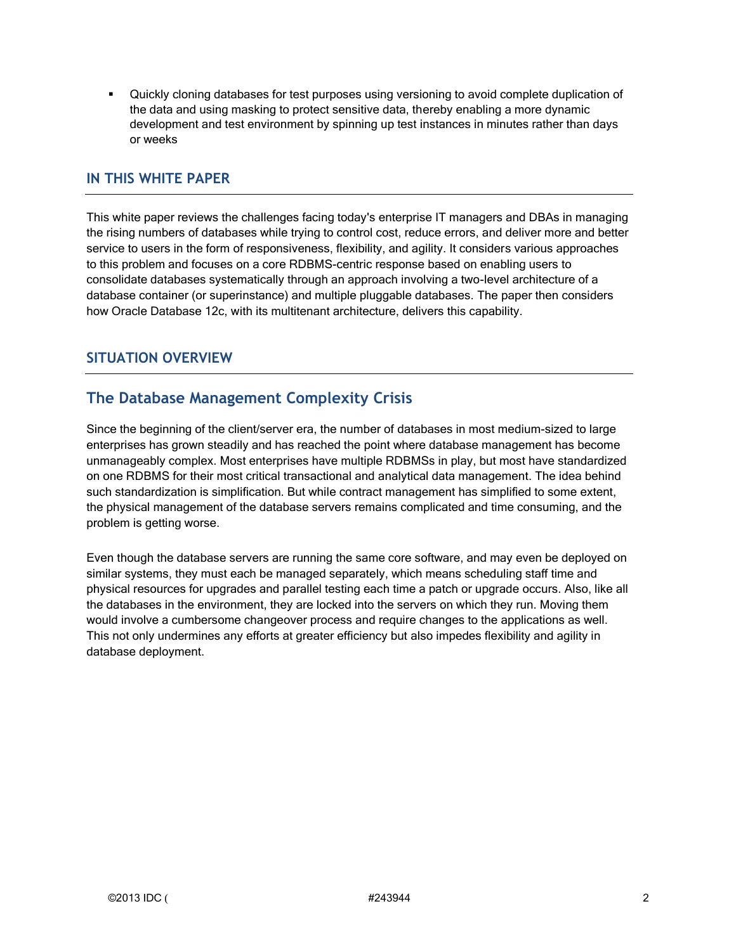development and test environment by spinning up test instances in minutes rather than days Quickly cloning databases for test purposes using versioning to avoid complete duplication of the data and using masking to protect sensitive data, thereby enabling a more dynamic or weeks

#### **IN THIS WHITE PAPER**

 to this problem and focuses on a core RDBMS-centric response based on enabling users to This white paper reviews the challenges facing today's enterprise IT managers and DBAs in managing the rising numbers of databases while trying to control cost, reduce errors, and deliver more and better service to users in the form of responsiveness, flexibility, and agility. It considers various approaches consolidate databases systematically through an approach involving a two-level architecture of a database container (or superinstance) and multiple pluggable databases. The paper then considers how Oracle Database 12c, with its multitenant architecture, delivers this capability.

## **SITUATION OVERVIEW**

## **The Database Management Complexity Crisis**

 on one RDBMS for their most critical transactional and analytical data management. The idea behind Since the beginning of the client/server era, the number of databases in most medium-sized to large enterprises has grown steadily and has reached the point where database management has become unmanageably complex. Most enterprises have multiple RDBMSs in play, but most have standardized such standardization is simplification. But while contract management has simplified to some extent, the physical management of the database servers remains complicated and time consuming, and the problem is getting worse.

 would involve a cumbersome changeover process and require changes to the applications as well. This not only undermines any efforts at greater efficiency but also impedes flexibility and agility in Even though the database servers are running the same core software, and may even be deployed on similar systems, they must each be managed separately, which means scheduling staff time and physical resources for upgrades and parallel testing each time a patch or upgrade occurs. Also, like all the databases in the environment, they are locked into the servers on which they run. Moving them database deployment.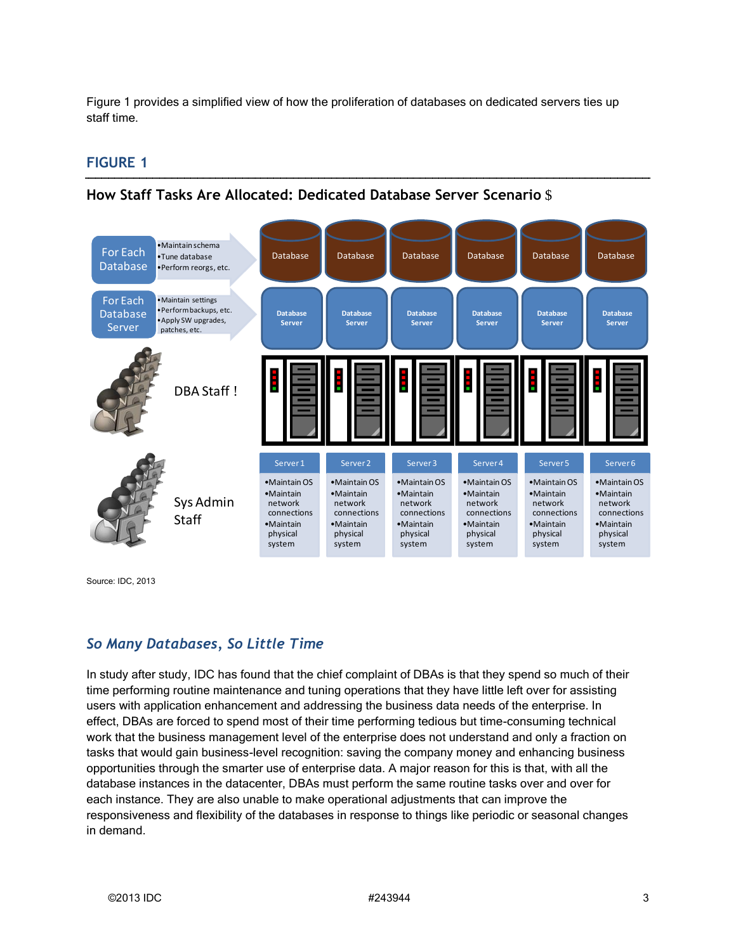Figure 1 provides a simplified view of how the proliferation of databases on dedicated servers ties up staff time.

## **FIGURE 1**

## **How Staff Tasks Are Allocated: Dedicated Database Server Scenario** \$

| For Each<br><b>Database</b>                  | · Maintain schema<br>·Tune database<br>·Perform reorgs, etc.                            | <b>Database</b>                                                                                       | <b>Database</b>                                                                                               | Database                                                                                                      | <b>Database</b>                                                                                    | <b>Database</b>                                                                                    | <b>Database</b>                                                                                               |
|----------------------------------------------|-----------------------------------------------------------------------------------------|-------------------------------------------------------------------------------------------------------|---------------------------------------------------------------------------------------------------------------|---------------------------------------------------------------------------------------------------------------|----------------------------------------------------------------------------------------------------|----------------------------------------------------------------------------------------------------|---------------------------------------------------------------------------------------------------------------|
| For Each<br><b>Database</b><br><b>Server</b> | · Maintain settings<br>· Perform backups, etc.<br>· Apply SW upgrades,<br>patches, etc. | <b>Database</b><br><b>Server</b>                                                                      | <b>Database</b><br><b>Server</b>                                                                              | <b>Database</b><br><b>Server</b>                                                                              | <b>Database</b><br><b>Server</b>                                                                   | <b>Database</b><br><b>Server</b>                                                                   | <b>Database</b><br><b>Server</b>                                                                              |
|                                              | DBA Staff!                                                                              |                                                                                                       |                                                                                                               | İ                                                                                                             | Ī                                                                                                  |                                                                                                    |                                                                                                               |
|                                              | Sys Admin<br><b>Staff</b>                                                               | Server 1<br>•Maintain OS<br>$•$ Maintain<br>network<br>connections<br>•Maintain<br>physical<br>system | Server <sub>2</sub><br>•Maintain OS<br>•Maintain<br>network<br>connections<br>•Maintain<br>physical<br>system | Server <sub>3</sub><br>•Maintain OS<br>•Maintain<br>network<br>connections<br>•Maintain<br>physical<br>system | Server 4<br>•Maintain OS<br>•Maintain<br>network<br>connections<br>•Maintain<br>physical<br>system | Server 5<br>•Maintain OS<br>•Maintain<br>network<br>connections<br>•Maintain<br>physical<br>system | Server <sub>6</sub><br>•Maintain OS<br>•Maintain<br>network<br>connections<br>•Maintain<br>physical<br>system |

Source: IDC, 2013

## *So Many Databases, So Little Time*

 database instances in the datacenter, DBAs must perform the same routine tasks over and over for In study after study, IDC has found that the chief complaint of DBAs is that they spend so much of their time performing routine maintenance and tuning operations that they have little left over for assisting users with application enhancement and addressing the business data needs of the enterprise. In effect, DBAs are forced to spend most of their time performing tedious but time-consuming technical work that the business management level of the enterprise does not understand and only a fraction on tasks that would gain business-level recognition: saving the company money and enhancing business opportunities through the smarter use of enterprise data. A major reason for this is that, with all the each instance. They are also unable to make operational adjustments that can improve the responsiveness and flexibility of the databases in response to things like periodic or seasonal changes in demand.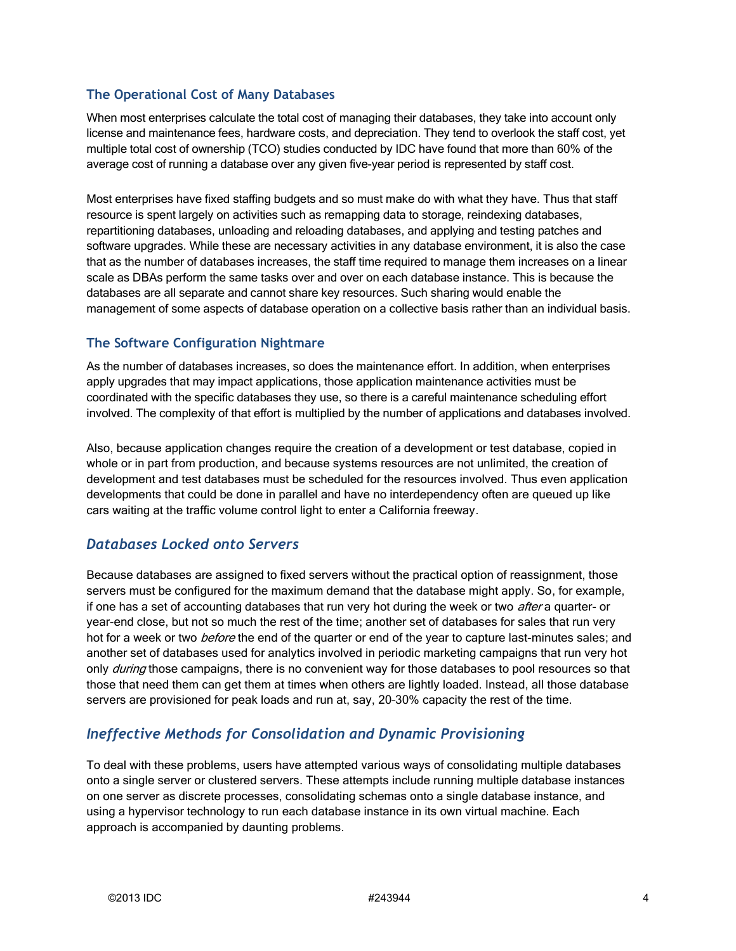#### **The Operational Cost of Many Databases**

 When most enterprises calculate the total cost of managing their databases, they take into account only license and maintenance fees, hardware costs, and depreciation. They tend to overlook the staff cost, yet multiple total cost of ownership (TCO) studies conducted by IDC have found that more than 60% of the average cost of running a database over any given five-year period is represented by staff cost.

 Most enterprises have fixed staffing budgets and so must make do with what they have. Thus that staff resource is spent largely on activities such as remapping data to storage, reindexing databases, repartitioning databases, unloading and reloading databases, and applying and testing patches and software upgrades. While these are necessary activities in any database environment, it is also the case that as the number of databases increases, the staff time required to manage them increases on a linear scale as DBAs perform the same tasks over and over on each database instance. This is because the databases are all separate and cannot share key resources. Such sharing would enable the management of some aspects of database operation on a collective basis rather than an individual basis.

#### **The Software Configuration Nightmare**

 As the number of databases increases, so does the maintenance effort. In addition, when enterprises apply upgrades that may impact applications, those application maintenance activities must be coordinated with the specific databases they use, so there is a careful maintenance scheduling effort involved. The complexity of that effort is multiplied by the number of applications and databases involved.

 development and test databases must be scheduled for the resources involved. Thus even application Also, because application changes require the creation of a development or test database, copied in whole or in part from production, and because systems resources are not unlimited, the creation of developments that could be done in parallel and have no interdependency often are queued up like cars waiting at the traffic volume control light to enter a California freeway.

## *Databases Locked onto Servers*

hot for a week or two *before* the end of the quarter or end of the year to capture last-minutes sales; and another set of databases used for analytics involved in periodic marketing campaigns that run very hot Because databases are assigned to fixed servers without the practical option of reassignment, those servers must be configured for the maximum demand that the database might apply. So, for example, if one has a set of accounting databases that run very hot during the week or two *after* a quarter- or year-end close, but not so much the rest of the time; another set of databases for sales that run very only *during* those campaigns, there is no convenient way for those databases to pool resources so that those that need them can get them at times when others are lightly loaded. Instead, all those database servers are provisioned for peak loads and run at, say, 20–30% capacity the rest of the time.

## *Ineffective Methods for Consolidation and Dynamic Provisioning*

 approach is accompanied by daunting problems. To deal with these problems, users have attempted various ways of consolidating multiple databases onto a single server or clustered servers. These attempts include running multiple database instances on one server as discrete processes, consolidating schemas onto a single database instance, and using a hypervisor technology to run each database instance in its own virtual machine. Each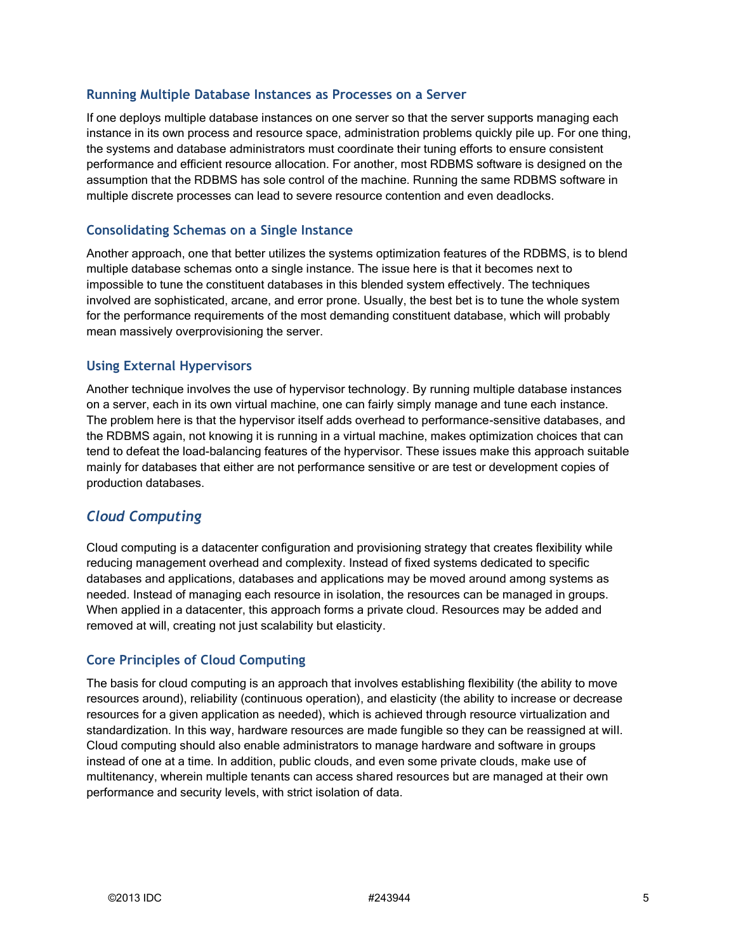#### **Running Multiple Database Instances as Processes on a Server**

If one deploys multiple database instances on one server so that the server supports managing each instance in its own process and resource space, administration problems quickly pile up. For one thing, the systems and database administrators must coordinate their tuning efforts to ensure consistent performance and efficient resource allocation. For another, most RDBMS software is designed on the assumption that the RDBMS has sole control of the machine. Running the same RDBMS software in multiple discrete processes can lead to severe resource contention and even deadlocks.

#### **Consolidating Schemas on a Single Instance**

 involved are sophisticated, arcane, and error prone. Usually, the best bet is to tune the whole system Another approach, one that better utilizes the systems optimization features of the RDBMS, is to blend multiple database schemas onto a single instance. The issue here is that it becomes next to impossible to tune the constituent databases in this blended system effectively. The techniques for the performance requirements of the most demanding constituent database, which will probably mean massively overprovisioning the server.

#### **Using External Hypervisors**

Another technique involves the use of hypervisor technology. By running multiple database instances on a server, each in its own virtual machine, one can fairly simply manage and tune each instance. The problem here is that the hypervisor itself adds overhead to performance-sensitive databases, and the RDBMS again, not knowing it is running in a virtual machine, makes optimization choices that can tend to defeat the load-balancing features of the hypervisor. These issues make this approach suitable mainly for databases that either are not performance sensitive or are test or development copies of production databases.

#### *Cloud Computing*

 needed. Instead of managing each resource in isolation, the resources can be managed in groups. Cloud computing is a datacenter configuration and provisioning strategy that creates flexibility while reducing management overhead and complexity. Instead of fixed systems dedicated to specific databases and applications, databases and applications may be moved around among systems as When applied in a datacenter, this approach forms a private cloud. Resources may be added and removed at will, creating not just scalability but elasticity.

#### **Core Principles of Cloud Computing**

The basis for cloud computing is an approach that involves establishing flexibility (the ability to move resources around), reliability (continuous operation), and elasticity (the ability to increase or decrease resources for a given application as needed), which is achieved through resource virtualization and standardization. In this way, hardware resources are made fungible so they can be reassigned at will. Cloud computing should also enable administrators to manage hardware and software in groups instead of one at a time. In addition, public clouds, and even some private clouds, make use of multitenancy, wherein multiple tenants can access shared resources but are managed at their own performance and security levels, with strict isolation of data.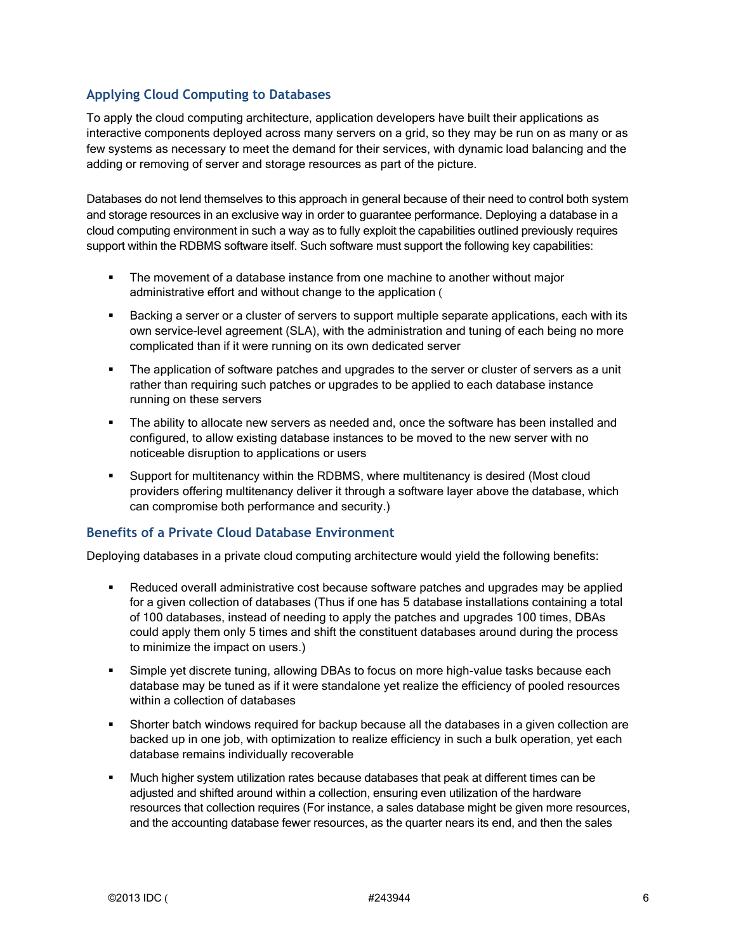#### **Applying Cloud Computing to Databases**

 adding or removing of server and storage resources as part of the picture. To apply the cloud computing architecture, application developers have built their applications as interactive components deployed across many servers on a grid, so they may be run on as many or as few systems as necessary to meet the demand for their services, with dynamic load balancing and the

 Databases do not lend themselves to this approach in general because of their need to control both system and storage resources in an exclusive way in order to guarantee performance. Deploying a database in a cloud computing environment in such a way as to fully exploit the capabilities outlined previously requires support within the RDBMS software itself. Such software must support the following key capabilities:

- **The movement of a database instance from one machine to another without major** administrative effort and without change to the application (
- Backing a server or a cluster of servers to support multiple separate applications, each with its own service-level agreement (SLA), with the administration and tuning of each being no more complicated than if it were running on its own dedicated server
- The application of software patches and upgrades to the server or cluster of servers as a unit rather than requiring such patches or upgrades to be applied to each database instance running on these servers
- **The ability to allocate new servers as needed and, once the software has been installed and** configured, to allow existing database instances to be moved to the new server with no noticeable disruption to applications or users
- providers offering multitenancy deliver it through a software layer above the database, which Support for multitenancy within the RDBMS, where multitenancy is desired (Most cloud can compromise both performance and security.)

#### **Benefits of a Private Cloud Database Environment**

Deploying databases in a private cloud computing architecture would yield the following benefits:

- for a given collection of databases (Thus if one has 5 database installations containing a total Reduced overall administrative cost because software patches and upgrades may be applied of 100 databases, instead of needing to apply the patches and upgrades 100 times, DBAs could apply them only 5 times and shift the constituent databases around during the process to minimize the impact on users.)
- database may be tuned as if it were standalone yet realize the efficiency of pooled resources Simple yet discrete tuning, allowing DBAs to focus on more high-value tasks because each within a collection of databases
- Shorter batch windows required for backup because all the databases in a given collection are backed up in one job, with optimization to realize efficiency in such a bulk operation, yet each database remains individually recoverable
- **Much higher system utilization rates because databases that peak at different times can be**  adjusted and shifted around within a collection, ensuring even utilization of the hardware resources that collection requires (For instance, a sales database might be given more resources, and the accounting database fewer resources, as the quarter nears its end, and then the sales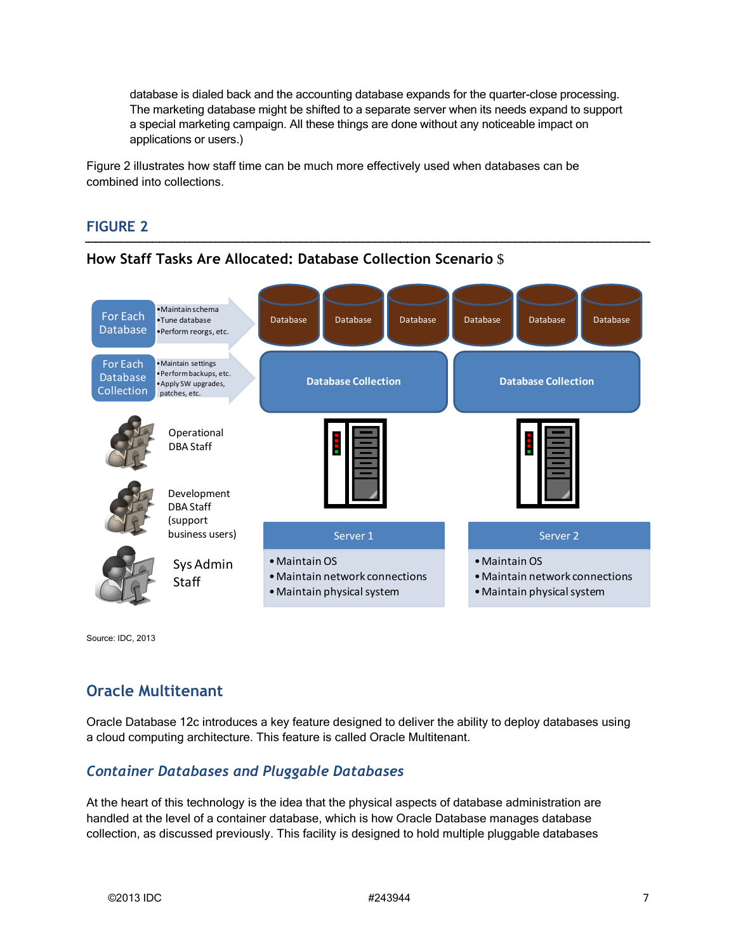database is dialed back and the accounting database expands for the quarter-close processing. The marketing database might be shifted to a separate server when its needs expand to support a special marketing campaign. All these things are done without any noticeable impact on applications or users.)

Figure 2 illustrates how staff time can be much more effectively used when databases can be combined into collections.

#### **FIGURE 2**



**How Staff Tasks Are Allocated: Database Collection Scenario** \$

Source: IDC, 2013

# **Oracle Multitenant**

 Oracle Database 12c introduces a key feature designed to deliver the ability to deploy databases using a cloud computing architecture. This feature is called Oracle Multitenant.

## *Container Databases and Pluggable Databases*

At the heart of this technology is the idea that the physical aspects of database administration are handled at the level of a container database, which is how Oracle Database manages database collection, as discussed previously. This facility is designed to hold multiple pluggable databases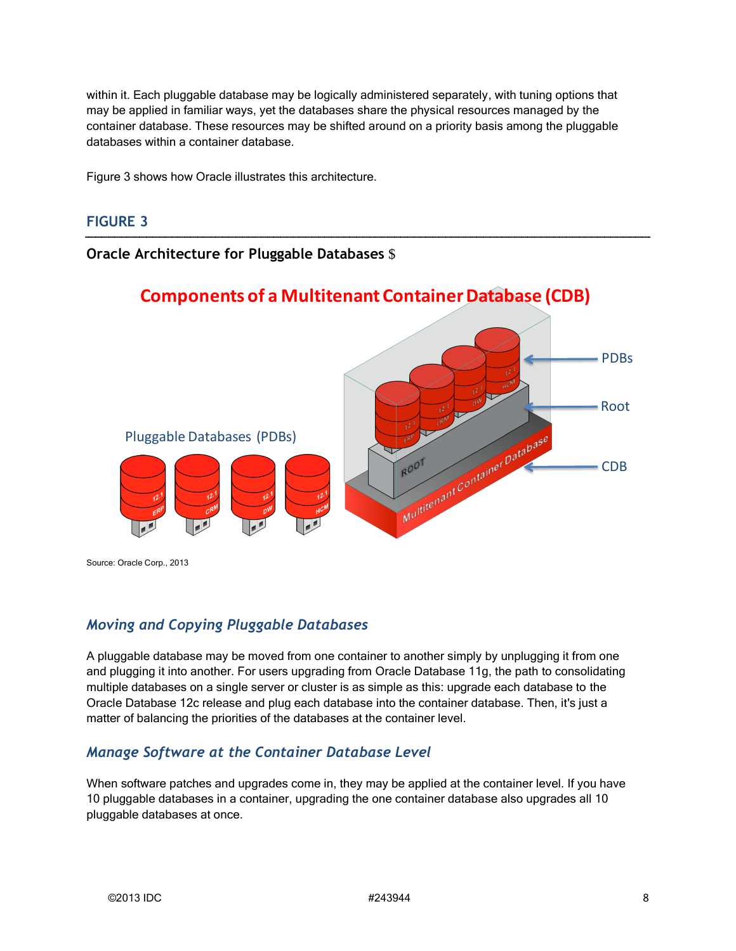may be applied in familiar ways, yet the databases share the physical resources managed by the within it. Each pluggable database may be logically administered separately, with tuning options that container database. These resources may be shifted around on a priority basis among the pluggable databases within a container database.

Figure 3 shows how Oracle illustrates this architecture.

#### **FIGURE 3**

#### **Oracle Architecture for Pluggable Databases** \$



 Source: Oracle Corp., 2013 Copyright © 2013, Oracle and/or its affiliates. All rights reserved.

#### *Moving and Copying Pluggable Databases*

 and plugging it into another. For users upgrading from Oracle Database 11g, the path to consolidating Oracle Database 12c release and plug each database into the container database. Then, it's just a A pluggable database may be moved from one container to another simply by unplugging it from one multiple databases on a single server or cluster is as simple as this: upgrade each database to the matter of balancing the priorities of the databases at the container level.

#### *Manage Software at the Container Database Level*

When software patches and upgrades come in, they may be applied at the container level. If you have 10 pluggable databases in a container, upgrading the one container database also upgrades all 10 pluggable databases at once.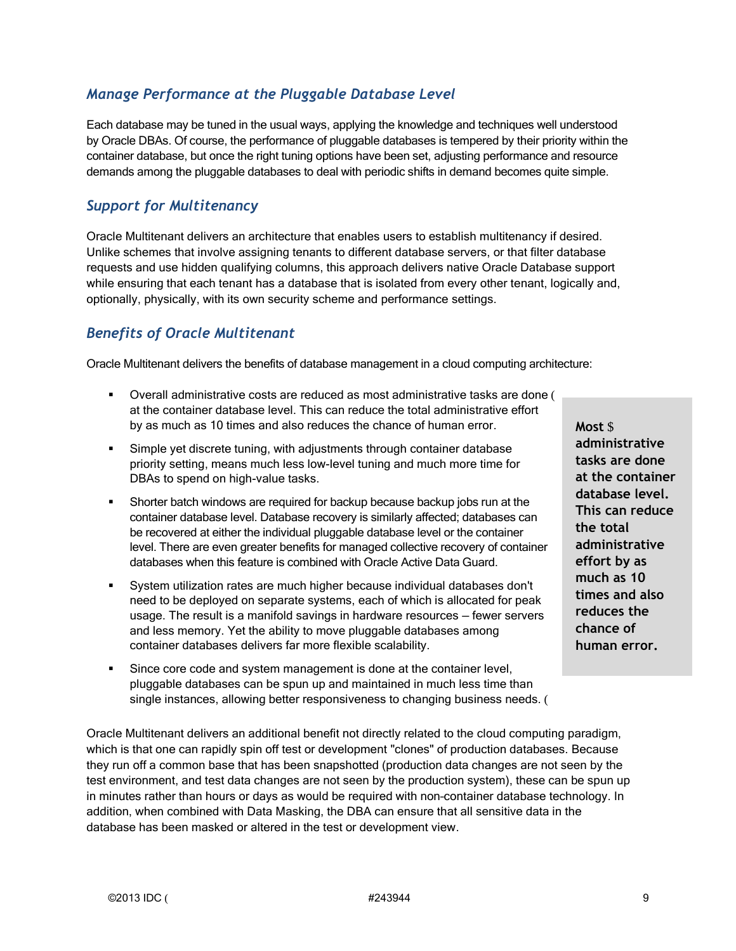## *Manage Performance at the Pluggable Database Level*

 Each database may be tuned in the usual ways, applying the knowledge and techniques well understood by Oracle DBAs. Of course, the performance of pluggable databases is tempered by their priority within the container database, but once the right tuning options have been set, adjusting performance and resource demands among the pluggable databases to deal with periodic shifts in demand becomes quite simple.

## *Support for Multitenancy*

 optionally, physically, with its own security scheme and performance settings. Oracle Multitenant delivers an architecture that enables users to establish multitenancy if desired. Unlike schemes that involve assigning tenants to different database servers, or that filter database requests and use hidden qualifying columns, this approach delivers native Oracle Database support while ensuring that each tenant has a database that is isolated from every other tenant, logically and,

## *Benefits of Oracle Multitenant*

Oracle Multitenant delivers the benefits of database management in a cloud computing architecture:

- Overall administrative costs are reduced as most administrative tasks are done ( at the container database level. This can reduce the total administrative effort by as much as 10 times and also reduces the chance of human error.
- **administrative** Simple yet discrete tuning, with adjustments through container database priority setting, means much less low-level tuning and much more time for **tasks are done**<br>DBAs to spend on high-value tasks. DBAs to spend on high-value tasks.
- **database level.**<br> **database level. Shorter batch windows are required for backup because backup jobs run at the <b>This can reduce**<br>
container database level. Database recovery is similarly affected; databases can container database level. Database recovery is similarly affected; databases can **the total individual pluggable database level or the container**  level. There are even greater benefits for managed collective recovery of container **administrative**  databases when this feature is combined with Oracle Active Data Guard. **effort by as**
- usage. The result is a manifold savings in hardware resources fewer servers "System utilization rates are much higher because individual databases don't<br>
need to be deployed on separate systems, each of which is allocated for peak<br>
usage. The result is a manifold savings in hardware resources – fe and less memory. Yet the ability to move pluggable databases among container databases delivers far more flexible scalability. **human error.**
- Since core code and system management is done at the container level, pluggable databases can be spun up and maintained in much less time than single instances, allowing better responsiveness to changing business needs. (

Oracle Multitenant delivers an additional benefit not directly related to the cloud computing paradigm, which is that one can rapidly spin off test or development "clones" of production databases. Because they run off a common base that has been snapshotted (production data changes are not seen by the test environment, and test data changes are not seen by the production system), these can be spun up in minutes rather than hours or days as would be required with non–container database technology. In addition, when combined with Data Masking, the DBA can ensure that all sensitive data in the database has been masked or altered in the test or development view.

tasks are done database level. This can reduce effort by as much as 10 times and also  $Most S$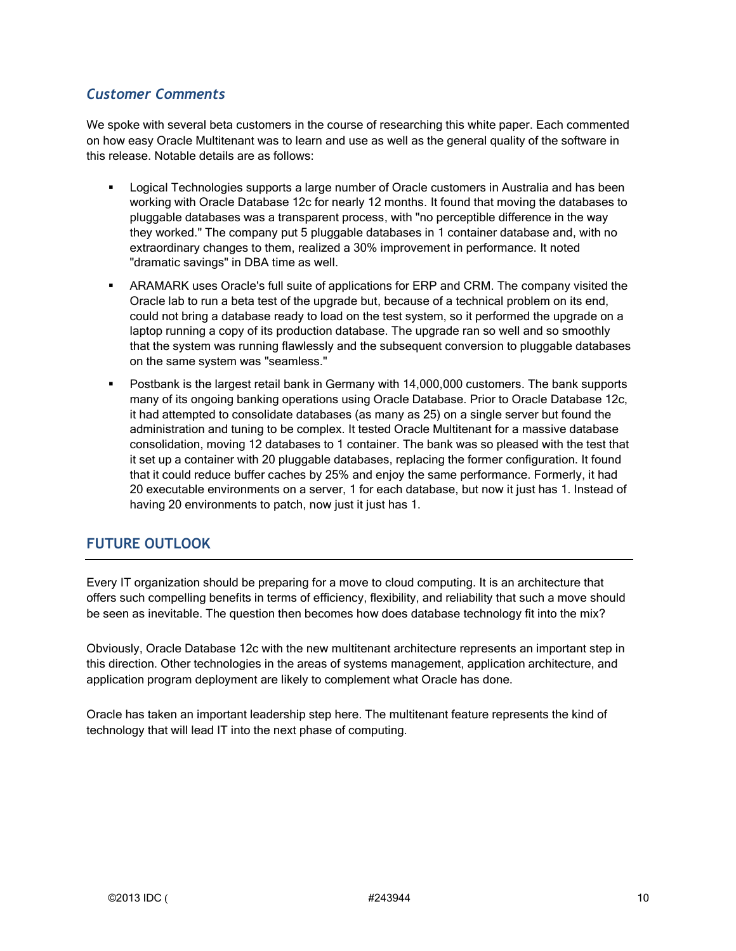## *Customer Comments*

 on how easy Oracle Multitenant was to learn and use as well as the general quality of the software in We spoke with several beta customers in the course of researching this white paper. Each commented this release. Notable details are as follows:

- **Logical Technologies supports a large number of Oracle customers in Australia and has been**  they worked." The company put 5 pluggable databases in 1 container database and, with no extraordinary changes to them, realized a 30% improvement in performance. It noted "dramatic savings" in DBA time as well. working with Oracle Database 12c for nearly 12 months. It found that moving the databases to pluggable databases was a transparent process, with "no perceptible difference in the way
- Oracle lab to run a beta test of the upgrade but, because of a technical problem on its end, ARAMARK uses Oracle's full suite of applications for ERP and CRM. The company visited the could not bring a database ready to load on the test system, so it performed the upgrade on a laptop running a copy of its production database. The upgrade ran so well and so smoothly that the system was running flawlessly and the subsequent conversion to pluggable databases on the same system was "seamless."
- **Postbank is the largest retail bank in Germany with 14,000,000 customers. The bank supports**  many of its ongoing banking operations using Oracle Database. Prior to Oracle Database 12c, it had attempted to consolidate databases (as many as 25) on a single server but found the consolidation, moving 12 databases to 1 container. The bank was so pleased with the test that that it could reduce buffer caches by 25% and enjoy the same performance. Formerly, it had 20 executable environments on a server, 1 for each database, but now it just has 1. Instead of having 20 environments to patch, now just it just has 1. administration and tuning to be complex. It tested Oracle Multitenant for a massive database it set up a container with 20 pluggable databases, replacing the former configuration. It found

## **FUTURE OUTLOOK**

Every IT organization should be preparing for a move to cloud computing. It is an architecture that offers such compelling benefits in terms of efficiency, flexibility, and reliability that such a move should be seen as inevitable. The question then becomes how does database technology fit into the mix?

Obviously, Oracle Database 12c with the new multitenant architecture represents an important step in this direction. Other technologies in the areas of systems management, application architecture, and application program deployment are likely to complement what Oracle has done.

 Oracle has taken an important leadership step here. The multitenant feature represents the kind of technology that will lead IT into the next phase of computing.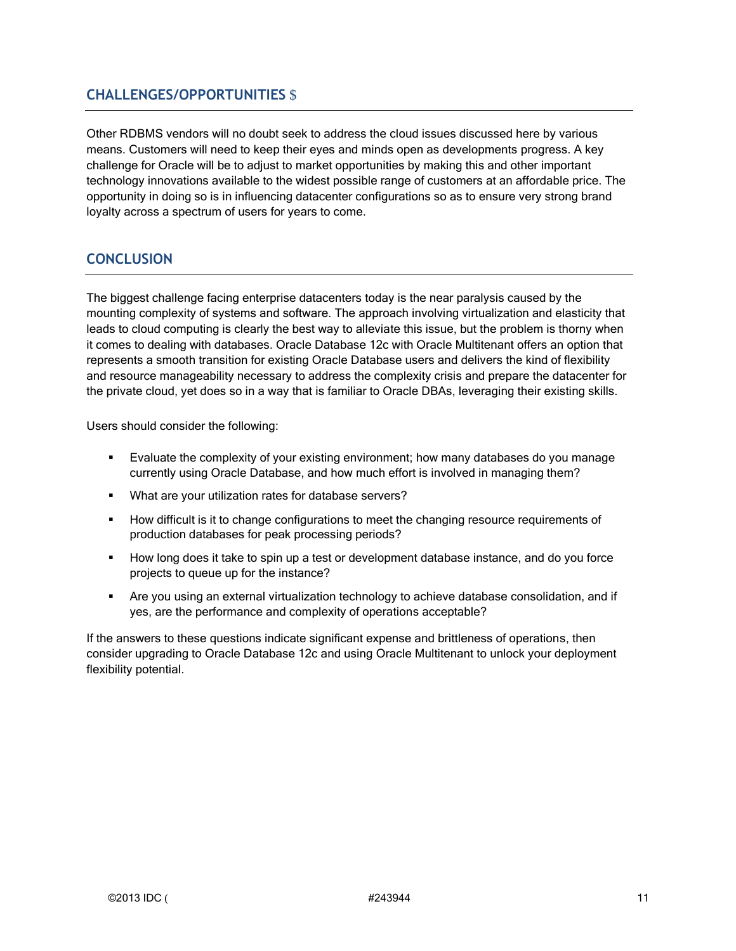## **CHALLENGES/OPPORTUNITIES** \$

 means. Customers will need to keep their eyes and minds open as developments progress. A key opportunity in doing so is in influencing datacenter configurations so as to ensure very strong brand Other RDBMS vendors will no doubt seek to address the cloud issues discussed here by various challenge for Oracle will be to adjust to market opportunities by making this and other important technology innovations available to the widest possible range of customers at an affordable price. The loyalty across a spectrum of users for years to come.

## **CONCLUSION**

 and resource manageability necessary to address the complexity crisis and prepare the datacenter for The biggest challenge facing enterprise datacenters today is the near paralysis caused by the mounting complexity of systems and software. The approach involving virtualization and elasticity that leads to cloud computing is clearly the best way to alleviate this issue, but the problem is thorny when it comes to dealing with databases. Oracle Database 12c with Oracle Multitenant offers an option that represents a smooth transition for existing Oracle Database users and delivers the kind of flexibility the private cloud, yet does so in a way that is familiar to Oracle DBAs, leveraging their existing skills.

Users should consider the following:

- Evaluate the complexity of your existing environment; how many databases do you manage currently using Oracle Database, and how much effort is involved in managing them?
- What are your utilization rates for database servers?
- **How difficult is it to change configurations to meet the changing resource requirements of** production databases for peak processing periods?
- projects to queue up for the instance? How long does it take to spin up a test or development database instance, and do you force
- Are you using an external virtualization technology to achieve database consolidation, and if yes, are the performance and complexity of operations acceptable?

If the answers to these questions indicate significant expense and brittleness of operations, then consider upgrading to Oracle Database 12c and using Oracle Multitenant to unlock your deployment flexibility potential.